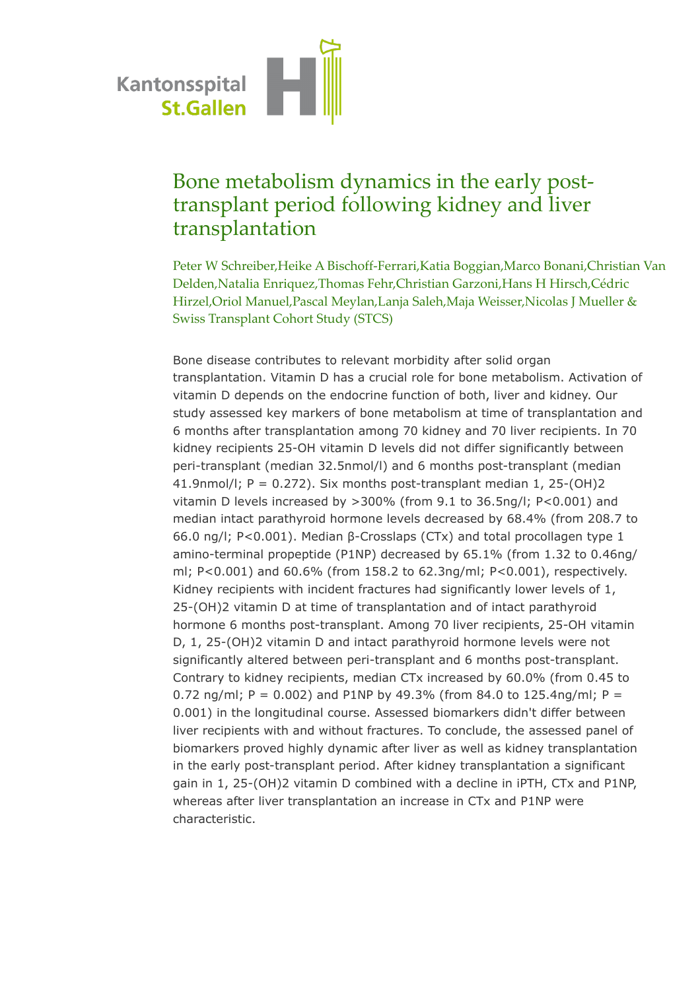

## Bone metabolism dynamics in the early posttransplant period following kidney and liver transplantation

Peter W Schreiber,Heike A Bischoff-Ferrari,Katia Boggian,Marco Bonani,Christian Van Delden,Natalia Enriquez,Thomas Fehr,Christian Garzoni,Hans H Hirsch,Cédric Hirzel,Oriol Manuel,Pascal Meylan,Lanja Saleh,Maja Weisser,Nicolas J Mueller & Swiss Transplant Cohort Study (STCS)

Bone disease contributes to relevant morbidity after solid organ transplantation. Vitamin D has a crucial role for bone metabolism. Activation of vitamin D depends on the endocrine function of both, liver and kidney. Our study assessed key markers of bone metabolism at time of transplantation and 6 months after transplantation among 70 kidney and 70 liver recipients. In 70 kidney recipients 25-OH vitamin D levels did not differ significantly between peri-transplant (median 32.5nmol/l) and 6 months post-transplant (median 41.9nmol/l;  $P = 0.272$ ). Six months post-transplant median 1, 25-(OH)2 vitamin D levels increased by >300% (from 9.1 to 36.5ng/l; P<0.001) and median intact parathyroid hormone levels decreased by 68.4% (from 208.7 to 66.0 ng/l; P<0.001). Median β-Crosslaps (CTx) and total procollagen type 1 amino-terminal propeptide (P1NP) decreased by 65.1% (from 1.32 to 0.46ng/ ml; P<0.001) and 60.6% (from 158.2 to 62.3ng/ml; P<0.001), respectively. Kidney recipients with incident fractures had significantly lower levels of 1, 25-(OH)2 vitamin D at time of transplantation and of intact parathyroid hormone 6 months post-transplant. Among 70 liver recipients, 25-OH vitamin D, 1, 25-(OH)2 vitamin D and intact parathyroid hormone levels were not significantly altered between peri-transplant and 6 months post-transplant. Contrary to kidney recipients, median CTx increased by 60.0% (from 0.45 to 0.72 ng/ml; P = 0.002) and P1NP by 49.3% (from 84.0 to 125.4ng/ml; P = 0.001) in the longitudinal course. Assessed biomarkers didn't differ between liver recipients with and without fractures. To conclude, the assessed panel of biomarkers proved highly dynamic after liver as well as kidney transplantation in the early post-transplant period. After kidney transplantation a significant gain in 1, 25-(OH)2 vitamin D combined with a decline in iPTH, CTx and P1NP, whereas after liver transplantation an increase in CTx and P1NP were characteristic.